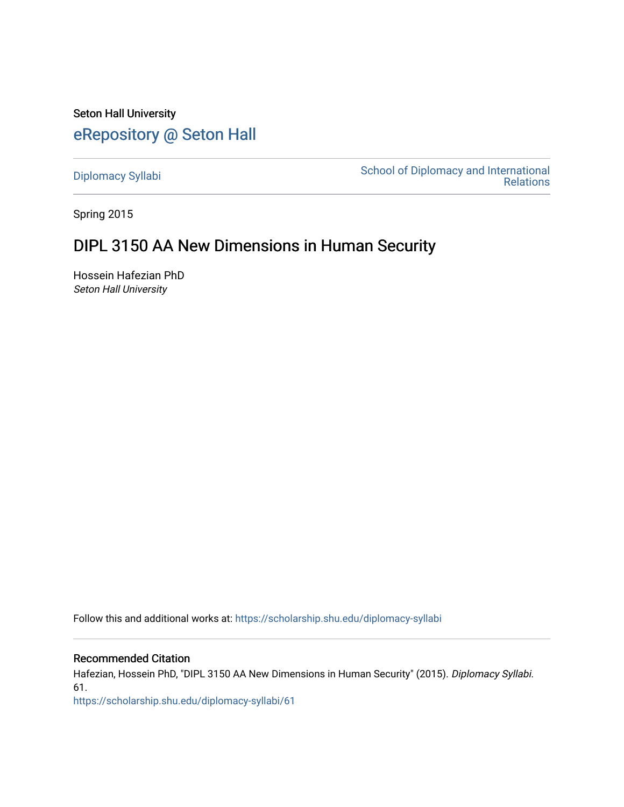Seton Hall University [eRepository @ Seton Hall](https://scholarship.shu.edu/)

[Diplomacy Syllabi](https://scholarship.shu.edu/diplomacy-syllabi) [School of Diplomacy and International](https://scholarship.shu.edu/diplomacy)  [Relations](https://scholarship.shu.edu/diplomacy) 

Spring 2015

# DIPL 3150 AA New Dimensions in Human Security

Hossein Hafezian PhD Seton Hall University

Follow this and additional works at: [https://scholarship.shu.edu/diplomacy-syllabi](https://scholarship.shu.edu/diplomacy-syllabi?utm_source=scholarship.shu.edu%2Fdiplomacy-syllabi%2F61&utm_medium=PDF&utm_campaign=PDFCoverPages) 

## Recommended Citation

Hafezian, Hossein PhD, "DIPL 3150 AA New Dimensions in Human Security" (2015). Diplomacy Syllabi. 61.

[https://scholarship.shu.edu/diplomacy-syllabi/61](https://scholarship.shu.edu/diplomacy-syllabi/61?utm_source=scholarship.shu.edu%2Fdiplomacy-syllabi%2F61&utm_medium=PDF&utm_campaign=PDFCoverPages)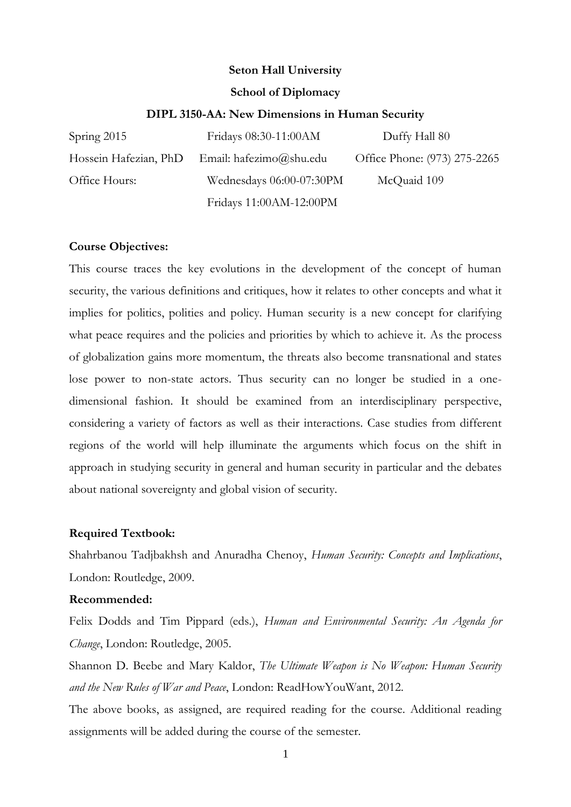# **Seton Hall University**

## **School of Diplomacy**

#### **DIPL 3150-AA: New Dimensions in Human Security**

| Spring 2015           | Fridays 08:30-11:00AM    | Duffy Hall 80                |
|-----------------------|--------------------------|------------------------------|
| Hossein Hafezian, PhD | Email: hafezimo@shu.edu  | Office Phone: (973) 275-2265 |
| Office Hours:         | Wednesdays 06:00-07:30PM | McQuaid 109                  |
|                       | Fridays 11:00AM-12:00PM  |                              |

#### **Course Objectives:**

This course traces the key evolutions in the development of the concept of human security, the various definitions and critiques, how it relates to other concepts and what it implies for politics, polities and policy. Human security is a new concept for clarifying what peace requires and the policies and priorities by which to achieve it. As the process of globalization gains more momentum, the threats also become transnational and states lose power to non-state actors. Thus security can no longer be studied in a onedimensional fashion. It should be examined from an interdisciplinary perspective, considering a variety of factors as well as their interactions. Case studies from different regions of the world will help illuminate the arguments which focus on the shift in approach in studying security in general and human security in particular and the debates about national sovereignty and global vision of security.

#### **Required Textbook:**

Shahrbanou Tadjbakhsh and Anuradha Chenoy, *Human Security: Concepts and Implications*, London: Routledge, 2009.

#### **Recommended:**

Felix Dodds and Tim Pippard (eds.), *Human and Environmental Security: An Agenda for Change*, London: Routledge, 2005.

[Shannon D. Beebe and Mary Kaldor,](http://www.amazon.com/s/ref=dp_byline_sr_book_1?ie=UTF8&text=Shannon+D.+Beebe+and+Mary+Kaldor&search-alias=books&field-author=Shannon+D.+Beebe+and+Mary+Kaldor&sort=relevancerank) *The Ultimate Weapon is No Weapon: Human Security and the New Rules of War and Peace*, London: ReadHowYouWant, 2012.

The above books, as assigned, are required reading for the course. Additional reading assignments will be added during the course of the semester.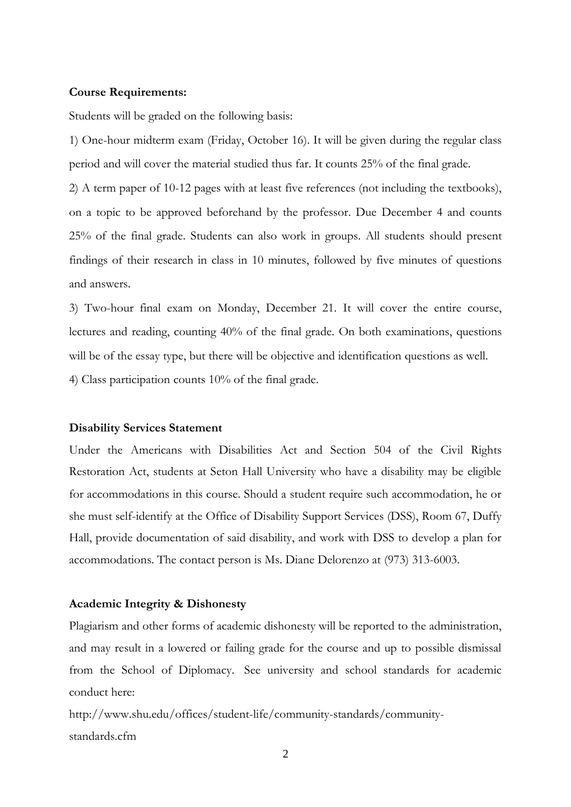#### **Course Requirements:**

Students will be graded on the following basis:

1) One-hour midterm exam (Friday, October 16). It will be given during the regular class period and will cover the material studied thus far. It counts 25% of the final grade.

2) A term paper of 10-12 pages with at least five references (not including the textbooks), on a topic to be approved beforehand by the professor. Due December 4 and counts 25% of the final grade. Students can also work in groups. All students should present findings of their research in class in 10 minutes, followed by five minutes of questions and answers.

3) Two-hour final exam on Monday, December 21. It will cover the entire course, lectures and reading, counting 40% of the final grade. On both examinations, questions will be of the essay type, but there will be objective and identification questions as well. 4) Class participation counts 10% of the final grade.

#### **Disability Services Statement**

Under the Americans with Disabilities Act and Section 504 of the Civil Rights Restoration Act, students at Seton Hall University who have a disability may be eligible for accommodations in this course. Should a student require such accommodation, he or she must self-identify at the Office of Disability Support Services (DSS), Room 67, Duffy Hall, provide documentation of said disability, and work with DSS to develop a plan for accommodations. The contact person is Ms. Diane Delorenzo at [\(973\) 313-6003.](tel:%28973%29%20313-6003)

### **Academic Integrity & Dishonesty**

Plagiarism and other forms of academic dishonesty will be reported to the administration, and may result in a lowered or failing grade for the course and up to possible dismissal from the School of Diplomacy. See university and school standards for academic conduct here:

[http://www.shu.edu/offices/student-life/community-standards/community](http://www.shu.edu/offices/student-life/community-standards/community-standards.cfm)[standards.cfm](http://www.shu.edu/offices/student-life/community-standards/community-standards.cfm)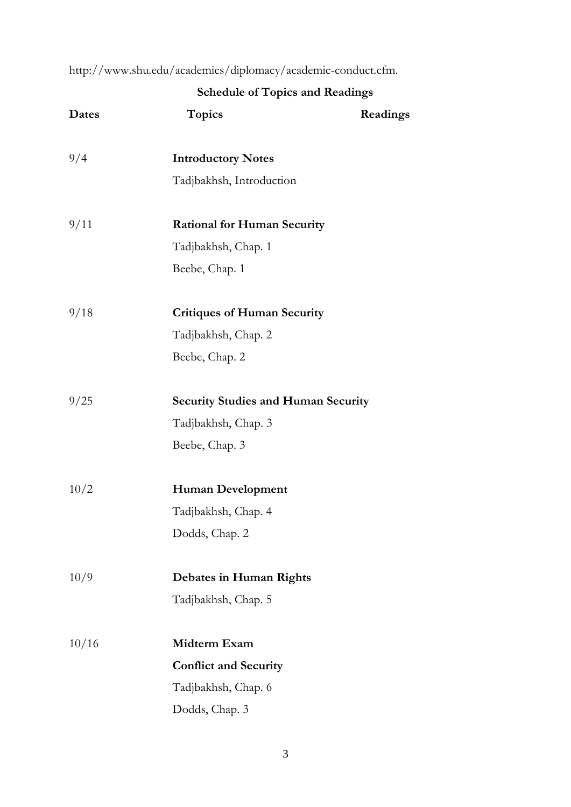[http://www.shu.edu/academics/diplomacy/academic-conduct.cfm.](http://www.shu.edu/academics/diplomacy/academic-conduct.cfm)

|       | <b>Schedule of Topics and Readings</b>     |          |  |
|-------|--------------------------------------------|----------|--|
| Dates | <b>Topics</b>                              | Readings |  |
| 9/4   | <b>Introductory Notes</b>                  |          |  |
|       | Tadjbakhsh, Introduction                   |          |  |
| 9/11  | <b>Rational for Human Security</b>         |          |  |
|       | Tadjbakhsh, Chap. 1                        |          |  |
|       | Beebe, Chap. 1                             |          |  |
| 9/18  | <b>Critiques of Human Security</b>         |          |  |
|       | Tadjbakhsh, Chap. 2                        |          |  |
|       | Beebe, Chap. 2                             |          |  |
| 9/25  | <b>Security Studies and Human Security</b> |          |  |
|       | Tadjbakhsh, Chap. 3                        |          |  |
|       | Beebe, Chap. 3                             |          |  |
| 10/2  | <b>Human Development</b>                   |          |  |
|       | Tadjbakhsh, Chap. 4                        |          |  |
|       | Dodds, Chap. 2                             |          |  |
| 10/9  | <b>Debates in Human Rights</b>             |          |  |
|       | Tadjbakhsh, Chap. 5                        |          |  |
| 10/16 | Midterm Exam                               |          |  |
|       | <b>Conflict and Security</b>               |          |  |
|       | Tadjbakhsh, Chap. 6                        |          |  |
|       | Dodds, Chap. 3                             |          |  |